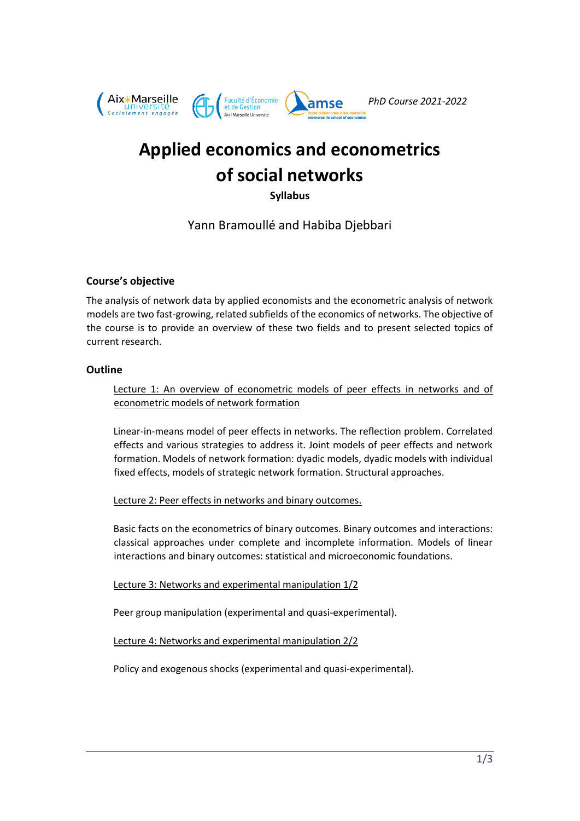

# **Applied economics and econometrics of social networks**

**Syllabus**

Yann Bramoullé and Habiba Djebbari

# **Course's objective**

The analysis of network data by applied economists and the econometric analysis of network models are two fast-growing, related subfields of the economics of networks. The objective of the course is to provide an overview of these two fields and to present selected topics of current research.

## **Outline**

Lecture 1: An overview of econometric models of peer effects in networks and of econometric models of network formation

Linear-in-means model of peer effects in networks. The reflection problem. Correlated effects and various strategies to address it. Joint models of peer effects and network formation. Models of network formation: dyadic models, dyadic models with individual fixed effects, models of strategic network formation. Structural approaches.

Lecture 2: Peer effects in networks and binary outcomes.

Basic facts on the econometrics of binary outcomes. Binary outcomes and interactions: classical approaches under complete and incomplete information. Models of linear interactions and binary outcomes: statistical and microeconomic foundations.

Lecture 3: Networks and experimental manipulation 1/2

Peer group manipulation (experimental and quasi-experimental).

Lecture 4: Networks and experimental manipulation 2/2

Policy and exogenous shocks (experimental and quasi-experimental).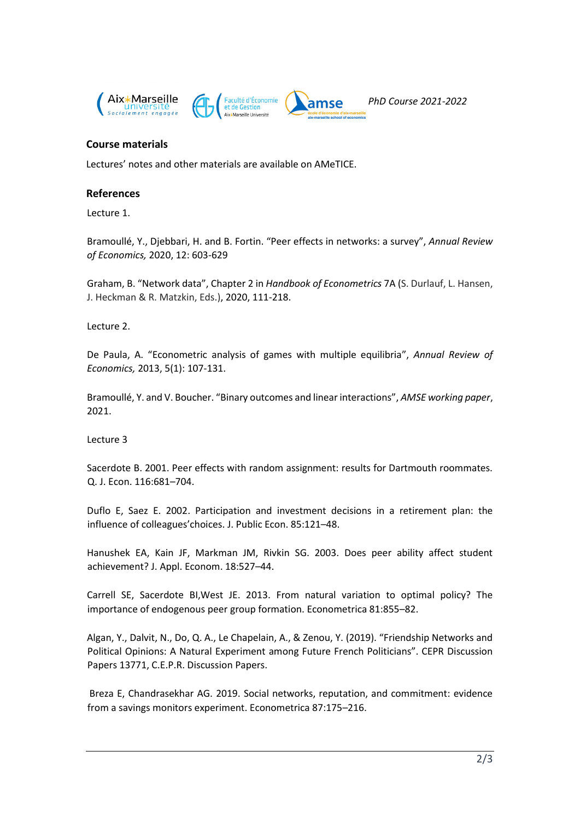

## **Course materials**

Lectures' notes and other materials are available on AMeTICE.

## **References**

Lecture 1.

Bramoullé, Y., Djebbari, H. and B. Fortin. "Peer effects in networks: a survey", *Annual Review of Economics,* 2020, 12: 603-629

Graham, B. "Network data", Chapter 2 in *Handbook of Econometrics* 7A (S. Durlauf, L. Hansen, J. Heckman & R. Matzkin, Eds.), 2020, 111-218.

Lecture 2.

De Paula, A. "Econometric analysis of games with multiple equilibria", *Annual Review of Economics,* 2013, 5(1): 107-131.

Bramoullé, Y. and V. Boucher. "Binary outcomes and linear interactions", *AMSE working paper*, 2021.

Lecture 3

Sacerdote B. 2001. Peer effects with random assignment: results for Dartmouth roommates. Q. J. Econ. 116:681–704.

Duflo E, Saez E. 2002. Participation and investment decisions in a retirement plan: the influence of colleagues'choices. J. Public Econ. 85:121–48.

Hanushek EA, Kain JF, Markman JM, Rivkin SG. 2003. Does peer ability affect student achievement? J. Appl. Econom. 18:527–44.

Carrell SE, Sacerdote BI,West JE. 2013. From natural variation to optimal policy? The importance of endogenous peer group formation. Econometrica 81:855–82.

Algan, Y., Dalvit, N., Do, Q. A., Le Chapelain, A., & Zenou, Y. (2019). "Friendship Networks and Political Opinions: A Natural Experiment among Future French Politicians". CEPR Discussion Papers 13771, C.E.P.R. Discussion Papers.

Breza E, Chandrasekhar AG. 2019. Social networks, reputation, and commitment: evidence from a savings monitors experiment. Econometrica 87:175–216.